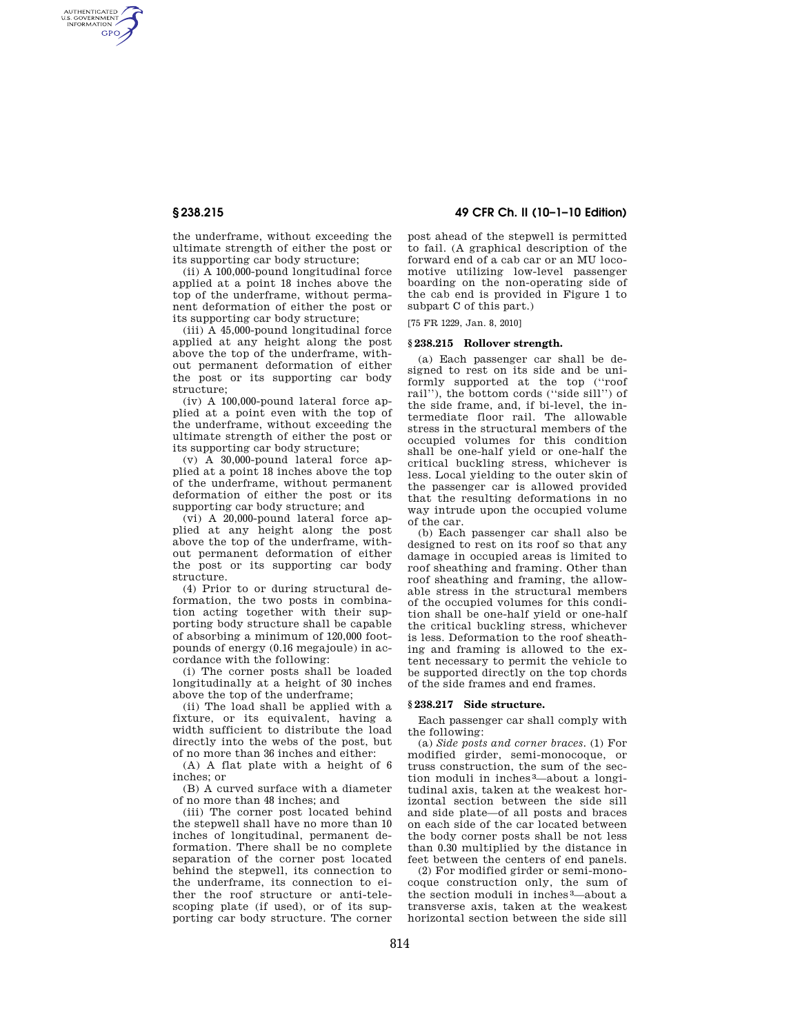AUTHENTICATED<br>U.S. GOVERNMENT<br>INFORMATION **GPO** 

> the underframe, without exceeding the ultimate strength of either the post or its supporting car body structure;

> (ii) A 100,000-pound longitudinal force applied at a point 18 inches above the top of the underframe, without permanent deformation of either the post or its supporting car body structure;

> (iii) A 45,000-pound longitudinal force applied at any height along the post above the top of the underframe, without permanent deformation of either the post or its supporting car body structure;

> (iv) A 100,000-pound lateral force applied at a point even with the top of the underframe, without exceeding the ultimate strength of either the post or its supporting car body structure;

> (v) A 30,000-pound lateral force applied at a point 18 inches above the top of the underframe, without permanent deformation of either the post or its supporting car body structure; and

> (vi) A 20,000-pound lateral force applied at any height along the post above the top of the underframe, without permanent deformation of either the post or its supporting car body structure.

> (4) Prior to or during structural deformation, the two posts in combination acting together with their supporting body structure shall be capable of absorbing a minimum of 120,000 footpounds of energy (0.16 megajoule) in accordance with the following:

> (i) The corner posts shall be loaded longitudinally at a height of 30 inches above the top of the underframe;

> (ii) The load shall be applied with a fixture, or its equivalent, having a width sufficient to distribute the load directly into the webs of the post, but of no more than 36 inches and either:

> (A) A flat plate with a height of 6 inches; or

> (B) A curved surface with a diameter of no more than 48 inches; and

(iii) The corner post located behind the stepwell shall have no more than 10 inches of longitudinal, permanent deformation. There shall be no complete separation of the corner post located behind the stepwell, its connection to the underframe, its connection to either the roof structure or anti-telescoping plate (if used), or of its supporting car body structure. The corner

# **§ 238.215 49 CFR Ch. II (10–1–10 Edition)**

post ahead of the stepwell is permitted to fail. (A graphical description of the forward end of a cab car or an MU locomotive utilizing low-level passenger boarding on the non-operating side of the cab end is provided in Figure 1 to subpart C of this part.)

[75 FR 1229, Jan. 8, 2010]

## **§ 238.215 Rollover strength.**

(a) Each passenger car shall be designed to rest on its side and be uniformly supported at the top (''roof rail''), the bottom cords (''side sill'') of the side frame, and, if bi-level, the intermediate floor rail. The allowable stress in the structural members of the occupied volumes for this condition shall be one-half yield or one-half the critical buckling stress, whichever is less. Local yielding to the outer skin of the passenger car is allowed provided that the resulting deformations in no way intrude upon the occupied volume of the car.

(b) Each passenger car shall also be designed to rest on its roof so that any damage in occupied areas is limited to roof sheathing and framing. Other than roof sheathing and framing, the allowable stress in the structural members of the occupied volumes for this condition shall be one-half yield or one-half the critical buckling stress, whichever is less. Deformation to the roof sheathing and framing is allowed to the extent necessary to permit the vehicle to be supported directly on the top chords of the side frames and end frames.

#### **§ 238.217 Side structure.**

Each passenger car shall comply with the following:

(a) *Side posts and corner braces.* (1) For modified girder, semi-monocoque, or truss construction, the sum of the section moduli in inches 3—about a longitudinal axis, taken at the weakest horizontal section between the side sill and side plate—of all posts and braces on each side of the car located between the body corner posts shall be not less than 0.30 multiplied by the distance in feet between the centers of end panels.

(2) For modified girder or semi-monocoque construction only, the sum of the section moduli in inches 3—about a transverse axis, taken at the weakest horizontal section between the side sill